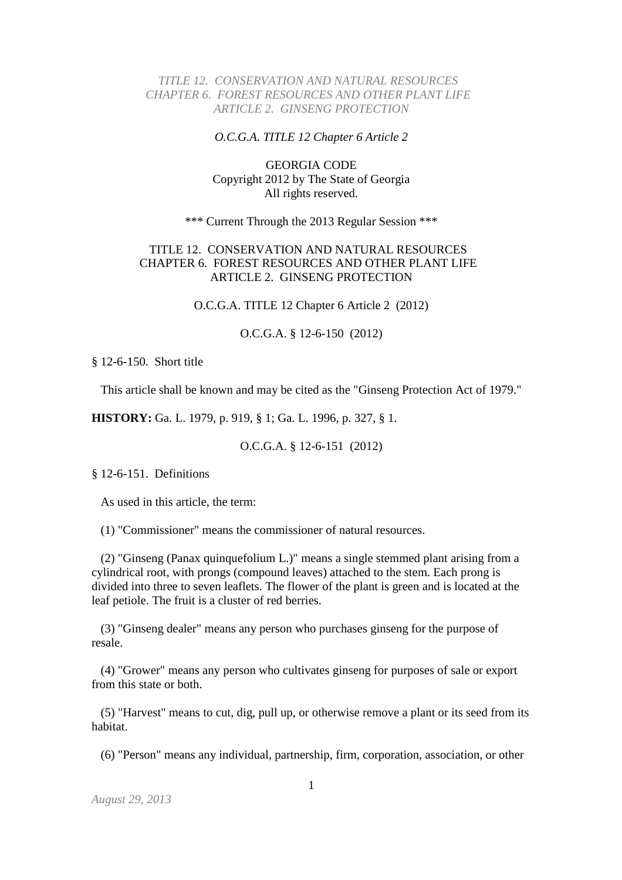## *TITLE 12. CONSERVATION AND NATURAL RESOURCES CHAPTER 6. FOREST RESOURCES AND OTHER PLANT LIFE ARTICLE 2. GINSENG PROTECTION*

#### *O.C.G.A. TITLE 12 Chapter 6 Article 2*

# GEORGIA CODE Copyright 2012 by The State of Georgia All rights reserved.

\*\*\* Current Through the 2013 Regular Session \*\*\*

# TITLE 12. CONSERVATION AND NATURAL RESOURCES CHAPTER 6. FOREST RESOURCES AND OTHER PLANT LIFE ARTICLE 2. GINSENG PROTECTION

O.C.G.A. TITLE 12 Chapter 6 Article 2 (2012)

O.C.G.A. § 12-6-150 (2012)

§ 12-6-150. Short title

This article shall be known and may be cited as the "Ginseng Protection Act of 1979."

**HISTORY:** Ga. L. 1979, p. 919, § 1; Ga. L. 1996, p. 327, § 1.

O.C.G.A. § 12-6-151 (2012)

§ 12-6-151. Definitions

As used in this article, the term:

(1) "Commissioner" means the commissioner of natural resources.

 (2) "Ginseng (Panax quinquefolium L.)" means a single stemmed plant arising from a cylindrical root, with prongs (compound leaves) attached to the stem. Each prong is divided into three to seven leaflets. The flower of the plant is green and is located at the leaf petiole. The fruit is a cluster of red berries.

 (3) "Ginseng dealer" means any person who purchases ginseng for the purpose of resale.

 (4) "Grower" means any person who cultivates ginseng for purposes of sale or export from this state or both.

 (5) "Harvest" means to cut, dig, pull up, or otherwise remove a plant or its seed from its habitat.

(6) "Person" means any individual, partnership, firm, corporation, association, or other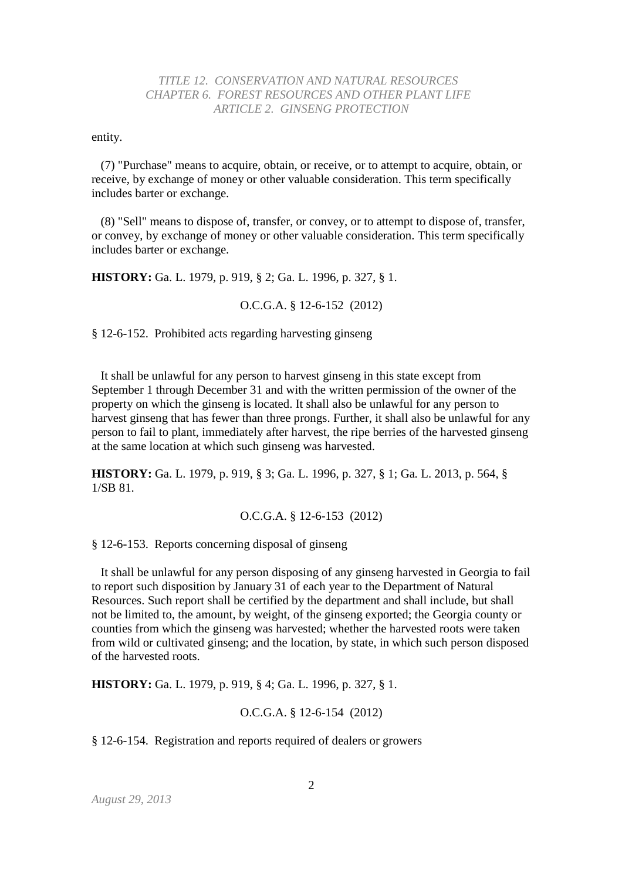### *TITLE 12. CONSERVATION AND NATURAL RESOURCES CHAPTER 6. FOREST RESOURCES AND OTHER PLANT LIFE ARTICLE 2. GINSENG PROTECTION*

entity.

 (7) "Purchase" means to acquire, obtain, or receive, or to attempt to acquire, obtain, or receive, by exchange of money or other valuable consideration. This term specifically includes barter or exchange.

 (8) "Sell" means to dispose of, transfer, or convey, or to attempt to dispose of, transfer, or convey, by exchange of money or other valuable consideration. This term specifically includes barter or exchange.

**HISTORY:** Ga. L. 1979, p. 919, § 2; Ga. L. 1996, p. 327, § 1.

O.C.G.A. § 12-6-152 (2012)

§ 12-6-152. Prohibited acts regarding harvesting ginseng

 It shall be unlawful for any person to harvest ginseng in this state except from September 1 through December 31 and with the written permission of the owner of the property on which the ginseng is located. It shall also be unlawful for any person to harvest ginseng that has fewer than three prongs. Further, it shall also be unlawful for any person to fail to plant, immediately after harvest, the ripe berries of the harvested ginseng at the same location at which such ginseng was harvested.

**HISTORY:** Ga. L. 1979, p. 919, § 3; Ga. L. 1996, p. 327, § 1; Ga. L. 2013, p. 564, § 1/SB 81.

O.C.G.A. § 12-6-153 (2012)

§ 12-6-153. Reports concerning disposal of ginseng

 It shall be unlawful for any person disposing of any ginseng harvested in Georgia to fail to report such disposition by January 31 of each year to the Department of Natural Resources. Such report shall be certified by the department and shall include, but shall not be limited to, the amount, by weight, of the ginseng exported; the Georgia county or counties from which the ginseng was harvested; whether the harvested roots were taken from wild or cultivated ginseng; and the location, by state, in which such person disposed of the harvested roots.

**HISTORY:** Ga. L. 1979, p. 919, § 4; Ga. L. 1996, p. 327, § 1.

#### O.C.G.A. § 12-6-154 (2012)

§ 12-6-154. Registration and reports required of dealers or growers

*August 29, 2013*